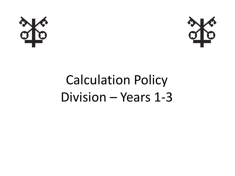



# Calculation Policy Division – Years 1-3